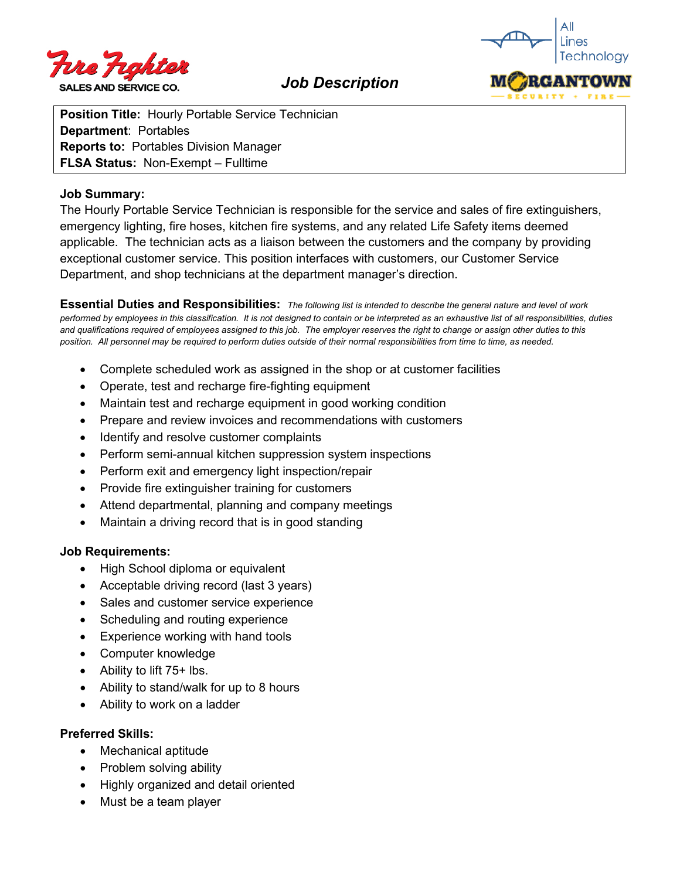

*Job Description*

**Position Title:** Hourly Portable Service Technician **Department**: Portables **Reports to:** Portables Division Manager **FLSA Status:** Non-Exempt – Fulltime

### **Job Summary:**

The Hourly Portable Service Technician is responsible for the service and sales of fire extinguishers, emergency lighting, fire hoses, kitchen fire systems, and any related Life Safety items deemed applicable. The technician acts as a liaison between the customers and the company by providing exceptional customer service. This position interfaces with customers, our Customer Service Department, and shop technicians at the department manager's direction.

**Essential Duties and Responsibilities:** *The following list is intended to describe the general nature and level of work performed by employees in this classification. It is not designed to contain or be interpreted as an exhaustive list of all responsibilities, duties and qualifications required of employees assigned to this job. The employer reserves the right to change or assign other duties to this position. All personnel may be required to perform duties outside of their normal responsibilities from time to time, as needed.* 

- Complete scheduled work as assigned in the shop or at customer facilities
- Operate, test and recharge fire-fighting equipment
- Maintain test and recharge equipment in good working condition
- Prepare and review invoices and recommendations with customers
- Identify and resolve customer complaints
- Perform semi-annual kitchen suppression system inspections
- Perform exit and emergency light inspection/repair
- Provide fire extinguisher training for customers
- Attend departmental, planning and company meetings
- Maintain a driving record that is in good standing

#### **Job Requirements:**

- High School diploma or equivalent
- Acceptable driving record (last 3 years)
- Sales and customer service experience
- Scheduling and routing experience
- Experience working with hand tools
- Computer knowledge
- Ability to lift 75+ lbs.
- Ability to stand/walk for up to 8 hours
- Ability to work on a ladder

#### **Preferred Skills:**

- Mechanical aptitude
- Problem solving ability
- Highly organized and detail oriented
- Must be a team player